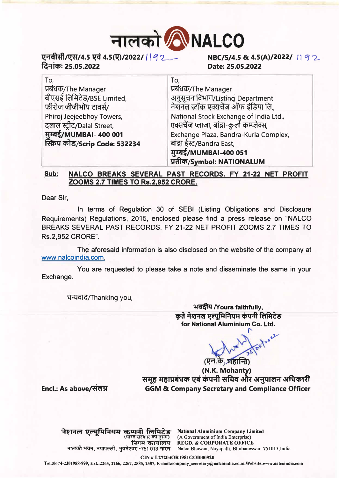

## **�·=Hilhfl�/4.5 � 4.5�/2022/ /** f *q* **1 fa.,..ict>: 25.05.2022**

**Date: 25.05.2022** 

| To,                            | To,                                         |
|--------------------------------|---------------------------------------------|
| प्रबंधक/The Manager            | प्रबंधक/The Manager                         |
| बीएसई लिमिटेड/BSE Limited,     | अनुसूचन विभाग/Listing Department            |
| फीरोज जीजीभोय टावर्स/          | नेशनल स्टॉक एक्सचेंज ऑफ इंडिया लि.,         |
| Phiroj Jeejeebhoy Towers,      | National Stock Exchange of India Ltd.,      |
| दलाल स्ट्रीट/Dalal Street,     | एक्सचेंज प्लाजा, बांद्रा-कुर्ला कम्प्लेक्स, |
| मुम्बई/MUMBAI- 400 001         | Exchange Plaza, Bandra-Kurla Complex,       |
| स्क्रिप कोड/Scrip Code: 532234 | बांद्रा ईस्ट/Bandra East,                   |
|                                | मुम्बई/MUMBAI-400 051                       |
|                                | प्रतीक/Symbol: NATIONALUM                   |

## **Sub: NALCO BREAKS SEVERAL PAST RECORDS. FY 21-22 NET PROFIT ZOOMS 2.7 TIMES TO Rs.2,952 CRORE.**

Dear Sir,

In terms of Regulation 30 of SEBI (Listing Obligations and Disclosure Requirements) Regulations, 2015, enclosed please find a press release on "NALCO BREAKS SEVERAL PAST RECORDS. FY 21-22 NET PROFIT ZOOMS 2.7 TIMES TO Rs.2,952 CRORE".

The aforesaid information is also disclosed on the website of the company at www.nalcoindia.com.

You are requested to please take a note and disseminate the same in your Exchange.

धन्यवाद/Thanking you,

**� Nours faithfully,**  कृते नेशनल एल्यूमिनियम कंपनी लिमिटेड **for National Aluminium Co. Ltd.** 

 $\mathcal{L}$ (एन.के. महान्ति

**(N.K. Mohanty)**  समूह महाप्रबंधक एबं कंपनी सचिव और अनुपालन अधिकारी **GGM** & **Company Secretary and Compliance Officer** 

Encl.: As above*/*संलग्न

**·'h>Ft("'I l(�R<Ut cfi¥:q..fl fc:.,fqzg National Aluminium Company Limited** (भारत सरकार का उद्यम)<br>्**निगम कार्यालय** (A Government of India Enterprise) **नालको भवन, नयापल्ली, भुवनेश्वर- रजिंगम कार्यालय REGD. & CORPORATE OFFICE**<br>नालको भवन, नयापल्ली, भुवनेश्वर-751013 भारत Nalco Bhawan, Nayapalli, Bhubaneswar–751013,India

**CIN** # **L272030RI981GOI000920** 

**Tel.:0674-2301988-999, Ext.:2265, 2266, 2267, 2585, 2587, E-mail:company\_secretary@nalcoindia.co.in,Website:www.nalcoindia.com**